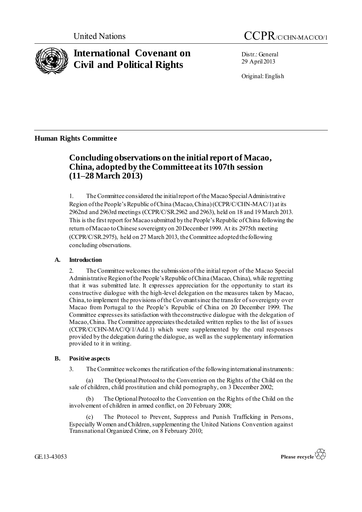

# **International Covenant on Civil and Political Rights**

Distr.: General 29 April2013

Original: English

## **Human Rights Committee**

## **Concluding observations on the initial report of Macao, China, adopted by the Committee at its 107th session (11–28 March 2013)**

1. The Committee considered the initial report of the Macao Special Administrative Region of the People's Republic of China (Macao, China) (CCPR/C/CHN-MAC/1) at its 2962nd and 2963rd meetings (CCPR/C/SR.2962 and 2963), held on 18 and 19 March 2013. This is the first report for Macao submitted by the People's Republic of China following the return of Macao to Chinese sovereignty on 20 December 1999. At its 2975th meeting (CCPR/C/SR.2975), held on 27 March 2013, the Committee adopted the following concluding observations.

## **A. Introduction**

2. The Committee welcomes the submission of the initial report of the Macao Special Administrative Region of the People's Republic of China (Macao, China), while regretting that it was submitted late. It expresses appreciation for the opportunity to start its constructive dialogue with the high-level delegation on the measures taken by Macao, China, to implement the provisions of the Covenant since the transfer of sovereignty over Macao from Portugal to the People's Republic of China on 20 December 1999. The Committee expresses its satisfaction with the constructive dialogue with the delegation of Macao, China. The Committee appreciates the detailed written replies to the list of issues (CCPR/C/CHN-MAC/Q/1/Add.1) which were supplemented by the oral responses provided by the delegation during the dialogue, as well as the supplementary information provided to it in writing.

## **B. Positive aspects**

3. The Committee welcomes the ratification of the following international instruments:

The Optional Protocol to the Convention on the Rights of the Child on the sale of children, child prostitution and child pornography, on 3 December 2002;

(b) The Optional Protocol to the Convention on the Rights of the Child on the involvement of children in armed conflict, on 20 February 2008;

(c) The Protocol to Prevent, Suppress and Punish Trafficking in Persons, Especially Women and Children, supplementing the United Nations Convention against Transnational Organized Crime, on 8 February 2010;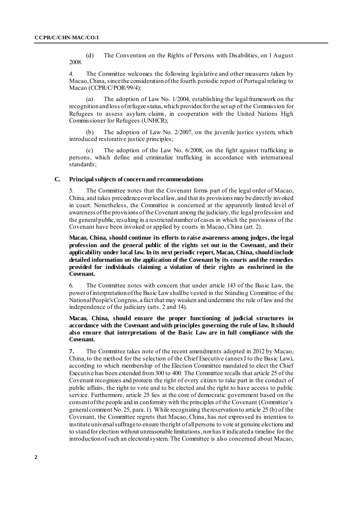(d) The Convention on the Rights of Persons with Disabilities, on 1 August 2008.

4. The Committee welcomes the following legislative and other measures taken by Macao, China, since the consideration of the fourth periodic report of Portugal relating to Macao (CCPR/C/POR/99/4):

(a) The adoption of Law No. 1/2004, establishing the legal framework on the recognition and loss of refugee status, which provides for the set up of the Commission for Refugees to assess asylum claims, in cooperation with the United Nations High Commissioner for Refugees (UNHCR);

(b) The adoption of Law No. 2/2007, on the juvenile justice system, which introduced restorative justice principles;

(c) The adoption of the Law No. 6/2008, on the fight against trafficking in persons, which define and criminalize trafficking in accordance with international standards:

#### **C. Principal subjects of concern and recommendations**

The Committee notes that the Covenant forms part of the legal order of Macao, China, and takes precedence over locallaw, and that its provisions may be directly invoked in court. Nonetheless, the Committee is concerned at the apparently limited level of awareness of the provisions of the Covenant among the judiciary, the legal profession and the general public, resulting in a restricted number of cases in which the provisions of the Covenant have been invoked or applied by courts in Macao, China (art. 2).

**Macao, China, should continue its efforts to raise awareness among judges, the legal profession and the general public of the rights set out in the Covenant, and their applicability under local law. In its next periodic report, Macao, China, should include detailed information on the application of the Covenant by its courts and the remedies provided for individuals claiming a violation of their rights as enshrined in the Covenant.**

6. The Committee notes with concern that under article 143 of the Basic Law, the power of interpretation of the Basic Law shall be vested in the Standing Committee of the National People's Congress, a fact that may weaken and undermine the rule of law and the independence of the judiciary (arts. 2 and 14).

**Macao, China, should ensure the proper functioning of judicial structures in accordance with the Covenant and with principles governing the rule of law. It should also ensure that interpretations of the Basic Law are in full compliance with the Covenant.**

**7.** The Committee takes note of the recent amendments adopted in 2012 by Macao, China,to the method for the selection of the Chief Executive (annex I to the Basic Law), according to which membership of the Election Committee mandated to elect the Chief Executive has been extended from 300 to 400. The Committee recalls that article 25 of the Covenant recognizes and protects the right of every citizen to take part in the conduct of public affairs, the right to vote and to be elected and the right to have access to public service. Furthermore, article 25 lies at the core of democratic government based on the consent of the people and in conformity with the principles of the Covenant (Committee's general comment No. 25, para. 1). While recognizing the reservation to article 25 (b) of the Covenant, the Committee regrets that Macao, China, has not expressed its intention to institute universal suffrage to ensure the right of all persons to vote at genuine elections and to stand for election without unreasonable limitations, nor has it indicated a timeline for the introduction of such an electoral system. The Committee is also concerned about Macao,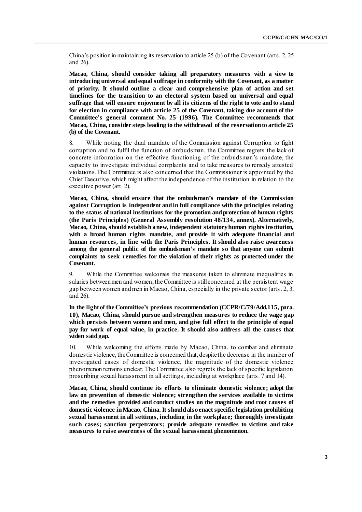China's position in maintaining its reservation to article 25 (b) of the Covenant (arts. 2, 25 and 26).

**Macao, China, should consider taking all preparatory measures with a view to introducing universal and equal suffrage in conformity with the Covenant, as a matter of priority. It should outline a clear and comprehensive plan of action and set timelines for the transition to an electoral system based on universal and equal suffrage that will ensure enjoyment by all its citizens of the right to vote and to stand for election in compliance with article 25 of the Covenant, taking due account of the Committee's general comment No. 25 (1996). The Committee recommends that Macao, China, consider steps leading to the withdrawal of the reservation to article 25 (b) of the Covenant.**

8. While noting the dual mandate of the Commission against Corruption to fight corruption and to fulfil the function of ombudsman, the Committee regrets the lack of concrete information on the effective functioning of the ombudsman's mandate, the capacity to investigate individual complaints and to take measures to remedy attested violations. The Committee is also concerned that the Commissioner is appointed by the Chief Executive,which might affect the independence of the institution in relation to the executive power (art. 2).

**Macao, China, should ensure that the ombudsman's mandate of the Commission against Corruption is independent and in full compliance with the principles relating to the status of national institutions for the promotion and protection of human rights (the Paris Principles) (General Assembly resolution 48/134, annex). Alternatively, Macao, China, should establish a new, independent statutory human rights institution, with a broad human rights mandate, and provide it with adequate financial and human resources, in line with the Paris Principles. It should also raise awareness among the general public of the ombudsman's mandate so that anyone can submit complaints to seek remedies for the violation of their rights as protected under the Covenant.**

9. While the Committee welcomes the measures taken to eliminate inequalities in salaries between men and women, the Committee is still concerned at the persistent wage gap between women and men in Macao, China, especially in the private sector (arts. 2, 3, and 26).

**In the light of the Committee's previous recommendation (CCPR/C/79/Add.115, para. 10), Macao, China, should pursue and strengthen measures to reduce the wage gap which persists between women and men, and give full effect to the principle of equal pay for work of equal value, in practice. It should also address all the causes that widen said gap.**

10. While welcoming the efforts made by Macao, China, to combat and eliminate domestic violence, the Committee is concerned that, despite the decrease in the number of investigated cases of domestic violence, the magnitude of the domestic violence phenomenon remains unclear. The Committee also regrets the lack of specific legislation proscribing sexual harassment in all settings, including at workplace (arts. 7 and 14).

**Macao, China, should continue its efforts to eliminate domestic violence; adopt the law on prevention of domestic violence; strengthen the services available to victims and the remedies provided and conduct studies on the magnitude and root causes of domestic violence in Macao, China. It should also enact specific legislation prohibiting sexual harassment in all settings, including in the workplace; thoroughly investigate such cases; sanction perpetrators; provide adequate remedies to victims and take measures to raise awareness of the sexual harassment phenomenon.**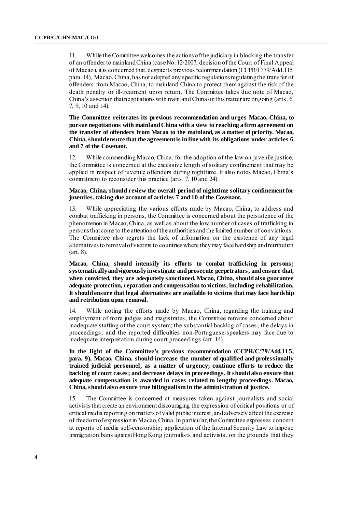11. While the Committee welcomes the actions of the judiciary in blocking the transfer of an offenderto mainland China (case No. 12/2007, decision of the Court of Final Appeal of Macao), it is concerned that, despite its previous recommendation (CCPR/C/79/Add.115, para. 14), Macao, China, has not adopted any specific regulationsregulating the transfer of offenders from Macao, China, to mainland China to protect themagainst the risk of the death penalty or ill-treatment upon return. The Committee takes due note of Macao, China's assertion that negotiations with mainland China on this matter are ongoing (arts. 6, 7, 9, 10 and 14).

**The Committee reiterates its previous recommendation and urges Macao, China, to pursue negotiations with mainland China with a view to reaching a firm agreement on the transfer of offenders from Macao to the mainland, as a matter of priority. Macao, China, should ensure that the agreement is in line with its obligations under articles 6 and 7 of the Covenant.** 

12. While commending Macao, China, for the adoption of the law on juvenile justice, the Committee is concerned at the excessive length of solitary confinement that may be applied in respect of juvenile offenders during nighttime. It also notes Macao, China's commitment to reconsider this practice (arts. 7, 10 and 24).

#### **Macao, China, should review the overall period of nighttime solitary confinement for juveniles, taking due account of articles 7 and 10 of the Covenant.**

13. While appreciating the various efforts made by Macao, China, to address and combat trafficking in persons, the Committee is concerned about the persistence of the phenomenon in Macao, China, as well as about the low number of cases of trafficking in persons that come to the attention of the authorities and the limited number of convictions. The Committee also regrets the lack of information on the existence of any legal alternatives to removal of victims to countries where they may face hardship and retribution (art. 8).

**Macao, China, should intensify its efforts to combat trafficking in persons; systematically and vigorously investigate and prosecute perpetrators, and ensure that, when convicted, they are adequately sanctioned. Macao, China, should also guarantee adequate protection, reparation and compensation to victims, including rehabilitation. It should ensure that legal alternatives are available to victims that may face hardship and retribution upon removal.**

14. While noting the efforts made by Macao, China, regarding the training and employment of more judges and magistrates, the Committee remains concerned about inadequate staffing of the court system; the substantial backlog of cases; the delays in proceedings; and the reported difficulties non-Portuguese-speakers may face due to inadequate interpretation during court proceedings (art. 14).

**In the light of the Committee's previous recommendation (CCPR/C/79/Add.115, para. 9), Macao, China, should increase the number of qualified and professionally trained judicial personnel, as a matter of urgency; continue efforts to reduce the backlog of court cases; and decrease delays in proceedings. It should also ensure that adequate compensation is awarded in cases related to lengthy proceedings. Macao, China, should also ensure true bilingualism in the administration of justice.** 

15. The Committee is concerned at measures taken against journalists and social activists that create an environment discouraging the expression of critical positions or of critical media reporting on matters of valid public interest, and adversely affect the exercise of freedom of expression in Macao, China. In particular, the Committee expresses concern at reports of media self-censorship; application of the Internal Security Law to impose immigration bans against Hong Kong journalists and activists, on the grounds that they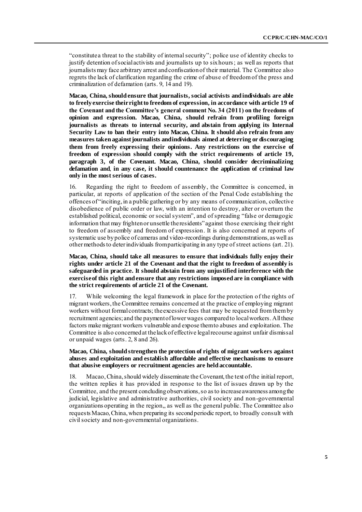"constitute a threat to the stability of internal security"; police use of identity checks to justify detention of social activists and journalists up to six hours; as well as reports that journalists may face arbitrary arrest and confiscation of their material. The Committee also regrets the lack of clarification regarding the crime of abuse of freedom of the press and criminalization of defamation (arts. 9, 14 and 19).

**Macao, China, should ensure that journalists, social activists and individuals are able to freely exercise their right to freedom of expression, in accordance with article 19 of the Covenant and the Committee's general comment No. 34 (2011) on the freedoms of opinion and expression. Macao, China, should refrain from profiling foreign journalists as threats to internal security, and abstain from applying its Internal Security Law to ban their entry into Macao, China. It should also refrain from any measures taken against journalists and individuals aimed at deterring or discouraging them from freely expressing their opinions. Any restrictions on the exercise of freedom of expression should comply with the strict requirements of article 19, paragraph 3, of the Covenant. Macao, China, should consider decriminalizing defamation and**, **in any case, it should countenance the application of criminal law only in the most serious of cases.**

16. Regarding the right to freedom of assembly, the Committee is concerned, in particular, at reports of application of the section of the Penal Code establishing the offences of "inciting, in a public gathering or by any means of communication, collective disobedience of public order or law, with an intention to destroy, alter or overturn the established political, economic or social system", and of spreading "false or demagogic information that may frighten or unsettle the residents" against those exercising their right to freedom of assembly and freedom of expression. It is also concerned at reports of systematic use by police of cameras and video-recordings during demonstrations, as well as other methods to deter individuals from participating in any type of street actions (art. 21).

**Macao, China, should take all measures to ensure that individuals fully enjoy their rights under article 21 of the Covenant and that the right to freedom of assembly is safeguarded in practice. It should abstain from any unjustified interference with the exercise of this right and ensure that any restrictions imposed are in compliance with the strict requirements of article 21 of the Covenant.**

17. While welcoming the legal framework in place for the protection of the rights of migrant workers, the Committee remains concerned at the practice of employing migrant workers without formal contracts; the excessive fees that may be requested from them by recruitment agencies;and the payment of lower wages compared to local workers. All these factors make migrant workers vulnerable and expose them to abuses and exploitation. The Committee is also concerned at the lack of effective legal recourse against unfair dismissal or unpaid wages (arts. 2, 8 and 26).

#### **Macao, China, should strengthen the protection of rights of migrant workers against abuses and exploitation and establish affordable and effective mechanisms to ensure that abusive employers or recruitment agencies are held accountable.**

18. Macao, China,should widely disseminate the Covenant, the text of the initial report, the written replies it has provided in response to the list of issues drawn up by the Committee, and the present concluding observations, so as to increase awareness among the judicial, legislative and administrative authorities, civil society and non-governmental organizations operating in the region,, as well as the general public. The Committee also requests Macao, China, when preparing its secondperiodic report, to broadly consult with civil society and non-governmental organizations.